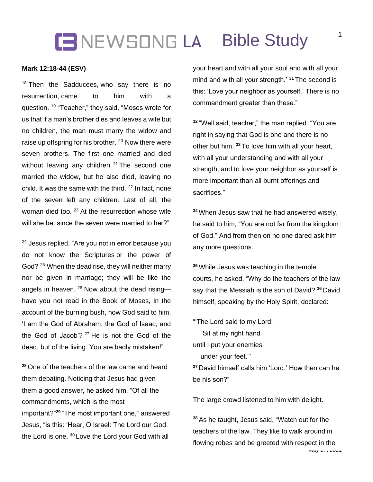# **IB** NEWSONG LA **Bible Study**

#### **Mark 12:18-44 (ESV)**

 $18$  Then the Sadducees, who say there is no resurrection, came to him with a question. <sup>19</sup> "Teacher," they said, "Moses wrote for us that if a man's brother dies and leaves a wife but no children, the man must marry the widow and raise up offspring for his brother. <sup>20</sup> Now there were seven brothers. The first one married and died without leaving any children.  $21$  The second one married the widow, but he also died, leaving no child. It was the same with the third.  $22$  In fact, none of the seven left any children. Last of all, the woman died too.<sup>23</sup> At the resurrection whose wife will she be, since the seven were married to her?"

<sup>24</sup> Jesus replied, "Are you not in error because you do not know the Scriptures or the power of God? <sup>25</sup> When the dead rise, they will neither marry nor be given in marriage; they will be like the angels in heaven. <sup>26</sup> Now about the dead rising have you not read in the Book of Moses, in the account of the burning bush, how God said to him, 'I am the God of Abraham, the God of Isaac, and the God of Jacob'? <sup>27</sup> He is not the God of the dead, but of the living. You are badly mistaken!"

**<sup>28</sup>** One of the teachers of the law came and heard them debating. Noticing that Jesus had given them a good answer, he asked him, "Of all the commandments, which is the most important?" **<sup>29</sup>** "The most important one," answered Jesus, "is this: 'Hear, O Israel: The Lord our God, the Lord is one. **<sup>30</sup>** Love the Lord your God with all

your heart and with all your soul and with all your mind and with all your strength.' **<sup>31</sup>** The second is this: 'Love your neighbor as yourself.' There is no commandment greater than these."

**<sup>32</sup>** "Well said, teacher," the man replied. "You are right in saying that God is one and there is no other but him. **<sup>33</sup>** To love him with all your heart, with all your understanding and with all your strength, and to love your neighbor as yourself is more important than all burnt offerings and sacrifices."

**<sup>34</sup>** When Jesus saw that he had answered wisely, he said to him, "You are not far from the kingdom of God." And from then on no one dared ask him any more questions.

**<sup>35</sup>** While Jesus was teaching in the temple courts, he asked, "Why do the teachers of the law say that the Messiah is the son of David? **<sup>36</sup>** David himself, speaking by the Holy Spirit, declared:

"'The Lord said to my Lord: "Sit at my right hand until I put your enemies under your feet."' **<sup>37</sup>** David himself calls him 'Lord.' How then can he

be his son?"

The large crowd listened to him with delight.

**<sup>38</sup>** As he taught, Jesus said, "Watch out for the teachers of the law. They like to walk around in flowing robes and be greeted with respect in the

*May 27, 2021*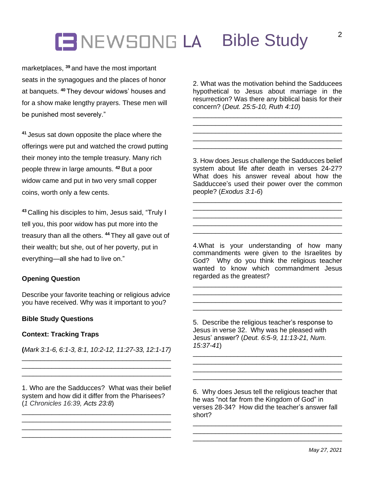# **CENEWSONG LA Bible Study**

marketplaces, **<sup>39</sup>** and have the most important seats in the synagogues and the places of honor at banquets. **<sup>40</sup>** They devour widows' houses and for a show make lengthy prayers. These men will be punished most severely."

**<sup>41</sup>** Jesus sat down opposite the place where the offerings were put and watched the crowd putting their money into the temple treasury. Many rich people threw in large amounts. **<sup>42</sup>** But a poor widow came and put in two very small copper coins, worth only a few cents.

**<sup>43</sup>** Calling his disciples to him, Jesus said, "Truly I tell you, this poor widow has put more into the treasury than all the others. **<sup>44</sup>** They all gave out of their wealth; but she, out of her poverty, put in everything—all she had to live on."

## **Opening Question**

Describe your favorite teaching or religious advice you have received. Why was it important to you?

### **Bible Study Questions**

#### **Context: Tracking Traps**

**(***Mark 3:1-6, 6:1-3, 8:1, 10:2-12, 11:27-33, 12:1-17)* \_\_\_\_\_\_\_\_\_\_\_\_\_\_\_\_\_\_\_\_\_\_\_\_\_\_\_\_\_\_\_\_\_\_\_\_\_\_\_\_

\_\_\_\_\_\_\_\_\_\_\_\_\_\_\_\_\_\_\_\_\_\_\_\_\_\_\_\_\_\_\_\_\_\_\_\_\_\_\_\_ \_\_\_\_\_\_\_\_\_\_\_\_\_\_\_\_\_\_\_\_\_\_\_\_\_\_\_\_\_\_\_\_\_\_\_\_\_\_\_\_

2. What was the motivation behind the Sadducees hypothetical to Jesus about marriage in the resurrection? Was there any biblical basis for their concern? (*Deut. 25:5-10, Ruth 4:10*)

\_\_\_\_\_\_\_\_\_\_\_\_\_\_\_\_\_\_\_\_\_\_\_\_\_\_\_\_\_\_\_\_\_\_\_\_\_\_\_\_

\_\_\_\_\_\_\_\_\_\_\_\_\_\_\_\_\_\_\_\_\_\_\_\_\_\_\_\_\_\_\_\_\_\_\_\_\_\_\_\_ \_\_\_\_\_\_\_\_\_\_\_\_\_\_\_\_\_\_\_\_\_\_\_\_\_\_\_\_\_\_\_\_\_\_\_\_\_\_\_\_

3. How does Jesus challenge the Sadducces belief system about life after death in verses 24-27? What does his answer reveal about how the Sadduccee's used their power over the common people? (*Exodus 3:1-6*)

\_\_\_\_\_\_\_\_\_\_\_\_\_\_\_\_\_\_\_\_\_\_\_\_\_\_\_\_\_\_\_\_\_\_\_\_\_\_\_\_ \_\_\_\_\_\_\_\_\_\_\_\_\_\_\_\_\_\_\_\_\_\_\_\_\_\_\_\_\_\_\_\_\_\_\_\_\_\_\_\_

\_\_\_\_\_\_\_\_\_\_\_\_\_\_\_\_\_\_\_\_\_\_\_\_\_\_\_\_\_\_\_\_\_\_\_\_\_\_\_\_ \_\_\_\_\_\_\_\_\_\_\_\_\_\_\_\_\_\_\_\_\_\_\_\_\_\_\_\_\_\_\_\_\_\_\_\_\_\_\_\_

4.What is your understanding of how many commandments were given to the Israelites by God? Why do you think the religious teacher wanted to know which commandment Jesus regarded as the greatest?

\_\_\_\_\_\_\_\_\_\_\_\_\_\_\_\_\_\_\_\_\_\_\_\_\_\_\_\_\_\_\_\_\_\_\_\_\_\_\_\_

\_\_\_\_\_\_\_\_\_\_\_\_\_\_\_\_\_\_\_\_\_\_\_\_\_\_\_\_\_\_\_\_\_\_\_\_\_\_\_\_ \_\_\_\_\_\_\_\_\_\_\_\_\_\_\_\_\_\_\_\_\_\_\_\_\_\_\_\_\_\_\_\_\_\_\_\_\_\_\_\_

5. Describe the religious teacher's response to Jesus in verse 32. Why was he pleased with Jesus' answer? (*Deut. 6:5-9, 11:13-21, Num. 15:37-41*)

\_\_\_\_\_\_\_\_\_\_\_\_\_\_\_\_\_\_\_\_\_\_\_\_\_\_\_\_\_\_\_\_\_\_\_\_\_\_\_\_ \_\_\_\_\_\_\_\_\_\_\_\_\_\_\_\_\_\_\_\_\_\_\_\_\_\_\_\_\_\_\_\_\_\_\_\_\_\_\_\_

\_\_\_\_\_\_\_\_\_\_\_\_\_\_\_\_\_\_\_\_\_\_\_\_\_\_\_\_\_\_\_\_\_\_\_\_\_\_\_\_

1. Who are the Sadducces? What was their belief system and how did it differ from the Pharisees? (*1 Chronicles 16:39, Acts 23:8*)

\_\_\_\_\_\_\_\_\_\_\_\_\_\_\_\_\_\_\_\_\_\_\_\_\_\_\_\_\_\_\_\_\_\_\_\_\_\_\_\_

\_\_\_\_\_\_\_\_\_\_\_\_\_\_\_\_\_\_\_\_\_\_\_\_\_\_\_\_\_\_\_\_\_\_\_\_\_\_\_\_

6. Why does Jesus tell the religious teacher that he was "not far from the Kingdom of God" in verses 28-34? How did the teacher's answer fall short?

\_\_\_\_\_\_\_\_\_\_\_\_\_\_\_\_\_\_\_\_\_\_\_\_\_\_\_\_\_\_\_\_\_\_\_\_\_\_\_\_ \_\_\_\_\_\_\_\_\_\_\_\_\_\_\_\_\_\_\_\_\_\_\_\_\_\_\_\_\_\_\_\_\_\_\_\_\_\_\_\_ \_\_\_\_\_\_\_\_\_\_\_\_\_\_\_\_\_\_\_\_\_\_\_\_\_\_\_\_\_\_\_\_\_\_\_\_\_\_\_\_